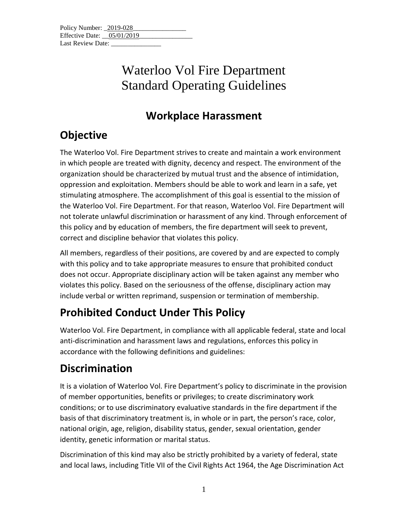| Policy Number: 2019-028      |  |  |
|------------------------------|--|--|
| Effective Date: $05/01/2019$ |  |  |
| Last Review Date:            |  |  |

#### **Workplace Harassment**

### **Objective**

The Waterloo Vol. Fire Department strives to create and maintain a work environment in which people are treated with dignity, decency and respect. The environment of the organization should be characterized by mutual trust and the absence of intimidation, oppression and exploitation. Members should be able to work and learn in a safe, yet stimulating atmosphere. The accomplishment of this goal is essential to the mission of the Waterloo Vol. Fire Department. For that reason, Waterloo Vol. Fire Department will not tolerate unlawful discrimination or harassment of any kind. Through enforcement of this policy and by education of members, the fire department will seek to prevent, correct and discipline behavior that violates this policy.

All members, regardless of their positions, are covered by and are expected to comply with this policy and to take appropriate measures to ensure that prohibited conduct does not occur. Appropriate disciplinary action will be taken against any member who violates this policy. Based on the seriousness of the offense, disciplinary action may include verbal or written reprimand, suspension or termination of membership.

### **Prohibited Conduct Under This Policy**

Waterloo Vol. Fire Department, in compliance with all applicable federal, state and local anti-discrimination and harassment laws and regulations, enforces this policy in accordance with the following definitions and guidelines:

### **Discrimination**

It is a violation of Waterloo Vol. Fire Department's policy to discriminate in the provision of member opportunities, benefits or privileges; to create discriminatory work conditions; or to use discriminatory evaluative standards in the fire department if the basis of that discriminatory treatment is, in whole or in part, the person's race, color, national origin, age, religion, disability status, gender, sexual orientation, gender identity, genetic information or marital status.

Discrimination of this kind may also be strictly prohibited by a variety of federal, state and local laws, including Title VII of the Civil Rights Act 1964, the Age Discrimination Act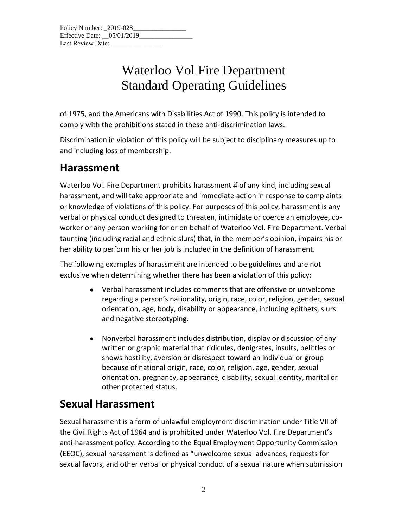of 1975, and the Americans with Disabilities Act of 1990. This policy is intended to comply with the prohibitions stated in these anti-discrimination laws.

Discrimination in violation of this policy will be subject to disciplinary measures up to and including loss of membership.

#### **Harassment**

Waterloo Vol. Fire Department prohibits harassment if of any kind, including sexual harassment, and will take appropriate and immediate action in response to complaints or knowledge of violations of this policy. For purposes of this policy, harassment is any verbal or physical conduct designed to threaten, intimidate or coerce an employee, coworker or any person working for or on behalf of Waterloo Vol. Fire Department. Verbal taunting (including racial and ethnic slurs) that, in the member's opinion, impairs his or her ability to perform his or her job is included in the definition of harassment.

The following examples of harassment are intended to be guidelines and are not exclusive when determining whether there has been a violation of this policy:

- Verbal harassment includes comments that are offensive or unwelcome regarding a person's nationality, origin, race, color, religion, gender, sexual orientation, age, body, disability or appearance, including epithets, slurs and negative stereotyping.
- Nonverbal harassment includes distribution, display or discussion of any written or graphic material that ridicules, denigrates, insults, belittles or shows hostility, aversion or disrespect toward an individual or group because of national origin, race, color, religion, age, gender, sexual orientation, pregnancy, appearance, disability, sexual identity, marital or other protected status.

#### **Sexual Harassment**

Sexual harassment is a form of unlawful employment discrimination under Title VII of the Civil Rights Act of 1964 and is prohibited under Waterloo Vol. Fire Department's anti-harassment policy. According to the Equal Employment Opportunity Commission (EEOC), sexual harassment is defined as "unwelcome sexual advances, requests for sexual favors, and other verbal or physical conduct of a sexual nature when submission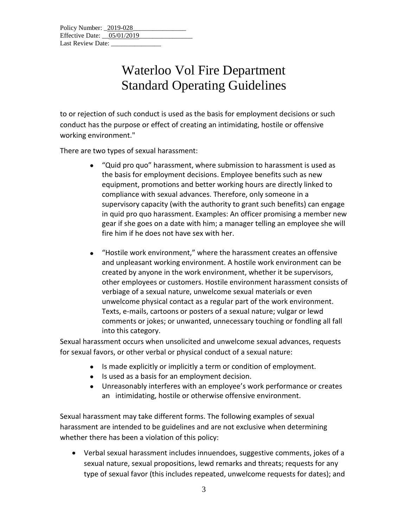to or rejection of such conduct is used as the basis for employment decisions or such conduct has the purpose or effect of creating an intimidating, hostile or offensive working environment."

There are two types of sexual harassment:

- "Quid pro quo" harassment, where submission to harassment is used as the basis for employment decisions. Employee benefits such as new equipment, promotions and better working hours are directly linked to compliance with sexual advances. Therefore, only someone in a supervisory capacity (with the authority to grant such benefits) can engage in quid pro quo harassment. Examples: An officer promising a member new gear if she goes on a date with him; a manager telling an employee she will fire him if he does not have sex with her.
- "Hostile work environment," where the harassment creates an offensive and unpleasant working environment. A hostile work environment can be created by anyone in the work environment, whether it be supervisors, other employees or customers. Hostile environment harassment consists of verbiage of a sexual nature, unwelcome sexual materials or even unwelcome physical contact as a regular part of the work environment. Texts, e-mails, cartoons or posters of a sexual nature; vulgar or lewd comments or jokes; or unwanted, unnecessary touching or fondling all fall into this category.

Sexual harassment occurs when unsolicited and unwelcome sexual advances, requests for sexual favors, or other verbal or physical conduct of a sexual nature:

- Is made explicitly or implicitly a term or condition of employment.
- Is used as a basis for an employment decision.
- Unreasonably interferes with an employee's work performance or creates an intimidating, hostile or otherwise offensive environment.

Sexual harassment may take different forms. The following examples of sexual harassment are intended to be guidelines and are not exclusive when determining whether there has been a violation of this policy:

• Verbal sexual harassment includes innuendoes, suggestive comments, jokes of a sexual nature, sexual propositions, lewd remarks and threats; requests for any type of sexual favor (this includes repeated, unwelcome requests for dates); and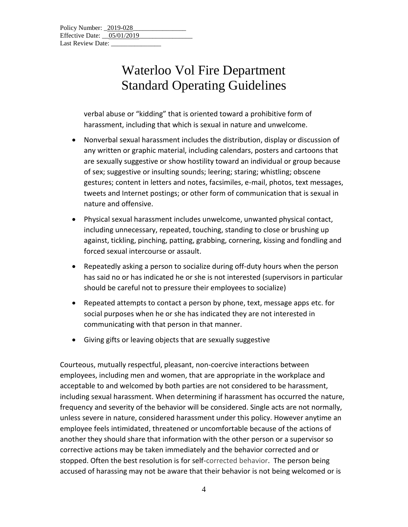verbal abuse or "kidding" that is oriented toward a prohibitive form of harassment, including that which is sexual in nature and unwelcome.

- Nonverbal sexual harassment includes the distribution, display or discussion of any written or graphic material, including calendars, posters and cartoons that are sexually suggestive or show hostility toward an individual or group because of sex; suggestive or insulting sounds; leering; staring; whistling; obscene gestures; content in letters and notes, facsimiles, e-mail, photos, text messages, tweets and Internet postings; or other form of communication that is sexual in nature and offensive.
- Physical sexual harassment includes unwelcome, unwanted physical contact, including unnecessary, repeated, touching, standing to close or brushing up against, tickling, pinching, patting, grabbing, cornering, kissing and fondling and forced sexual intercourse or assault.
- Repeatedly asking a person to socialize during off-duty hours when the person has said no or has indicated he or she is not interested (supervisors in particular should be careful not to pressure their employees to socialize)
- Repeated attempts to contact a person by phone, text, message apps etc. for social purposes when he or she has indicated they are not interested in communicating with that person in that manner.
- Giving gifts or leaving objects that are sexually suggestive

Courteous, mutually respectful, pleasant, non-coercive interactions between employees, including men and women, that are appropriate in the workplace and acceptable to and welcomed by both parties are not considered to be harassment, including sexual harassment. When determining if harassment has occurred the nature, frequency and severity of the behavior will be considered. Single acts are not normally, unless severe in nature, considered harassment under this policy. However anytime an employee feels intimidated, threatened or uncomfortable because of the actions of another they should share that information with the other person or a supervisor so corrective actions may be taken immediately and the behavior corrected and or stopped. Often the best resolution is for self-corrected behavior. The person being accused of harassing may not be aware that their behavior is not being welcomed or is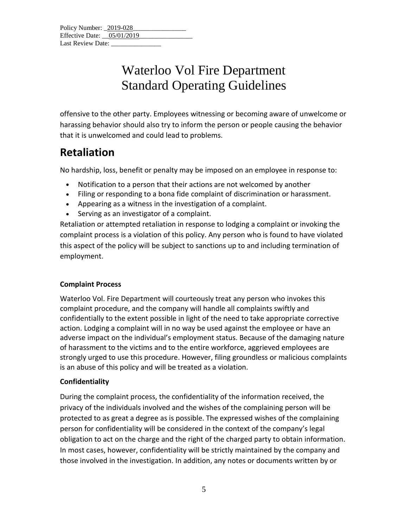offensive to the other party. Employees witnessing or becoming aware of unwelcome or harassing behavior should also try to inform the person or people causing the behavior that it is unwelcomed and could lead to problems.

#### **Retaliation**

No hardship, loss, benefit or penalty may be imposed on an employee in response to:

- Notification to a person that their actions are not welcomed by another
- Filing or responding to a bona fide complaint of discrimination or harassment.
- Appearing as a witness in the investigation of a complaint.
- Serving as an investigator of a complaint.

Retaliation or attempted retaliation in response to lodging a complaint or invoking the complaint process is a violation of this policy. Any person who is found to have violated this aspect of the policy will be subject to sanctions up to and including termination of employment.

#### **Complaint Process**

Waterloo Vol. Fire Department will courteously treat any person who invokes this complaint procedure, and the company will handle all complaints swiftly and confidentially to the extent possible in light of the need to take appropriate corrective action. Lodging a complaint will in no way be used against the employee or have an adverse impact on the individual's employment status. Because of the damaging nature of harassment to the victims and to the entire workforce, aggrieved employees are strongly urged to use this procedure. However, filing groundless or malicious complaints is an abuse of this policy and will be treated as a violation.

#### **Confidentiality**

During the complaint process, the confidentiality of the information received, the privacy of the individuals involved and the wishes of the complaining person will be protected to as great a degree as is possible. The expressed wishes of the complaining person for confidentiality will be considered in the context of the company's legal obligation to act on the charge and the right of the charged party to obtain information. In most cases, however, confidentiality will be strictly maintained by the company and those involved in the investigation. In addition, any notes or documents written by or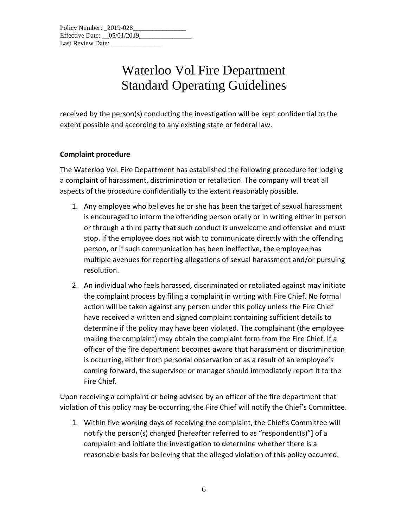received by the person(s) conducting the investigation will be kept confidential to the extent possible and according to any existing state or federal law.

#### **Complaint procedure**

The Waterloo Vol. Fire Department has established the following procedure for lodging a complaint of harassment, discrimination or retaliation. The company will treat all aspects of the procedure confidentially to the extent reasonably possible.

- 1. Any employee who believes he or she has been the target of sexual harassment is encouraged to inform the offending person orally or in writing either in person or through a third party that such conduct is unwelcome and offensive and must stop. If the employee does not wish to communicate directly with the offending person, or if such communication has been ineffective, the employee has multiple avenues for reporting allegations of sexual harassment and/or pursuing resolution.
- 2. An individual who feels harassed, discriminated or retaliated against may initiate the complaint process by filing a complaint in writing with Fire Chief*.* No formal action will be taken against any person under this policy unless the Fire Chief have received a written and signed complaint containing sufficient details to determine if the policy may have been violated. The complainant (the employee making the complaint) may obtain the complaint form from the Fire Chief. If a officer of the fire department becomes aware that harassment or discrimination is occurring, either from personal observation or as a result of an employee's coming forward, the supervisor or manager should immediately report it to the Fire Chief.

Upon receiving a complaint or being advised by an officer of the fire department that violation of this policy may be occurring, the Fire Chief will notify the Chief's Committee.

1. Within five working days of receiving the complaint, the Chief's Committee will notify the person(s) charged [hereafter referred to as "respondent(s)"] of a complaint and initiate the investigation to determine whether there is a reasonable basis for believing that the alleged violation of this policy occurred.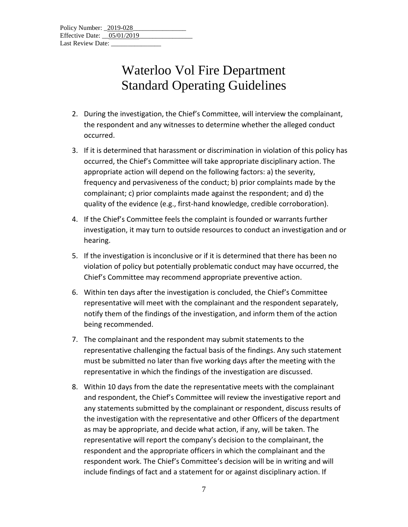- 2. During the investigation, the Chief's Committee, will interview the complainant, the respondent and any witnesses to determine whether the alleged conduct occurred.
- 3. If it is determined that harassment or discrimination in violation of this policy has occurred, the Chief's Committee will take appropriate disciplinary action. The appropriate action will depend on the following factors: a) the severity, frequency and pervasiveness of the conduct; b) prior complaints made by the complainant; c) prior complaints made against the respondent; and d) the quality of the evidence (e.g., first-hand knowledge, credible corroboration).
- 4. If the Chief's Committee feels the complaint is founded or warrants further investigation, it may turn to outside resources to conduct an investigation and or hearing.
- 5. If the investigation is inconclusive or if it is determined that there has been no violation of policy but potentially problematic conduct may have occurred, the Chief's Committee may recommend appropriate preventive action.
- 6. Within ten days after the investigation is concluded, the Chief's Committee representative will meet with the complainant and the respondent separately, notify them of the findings of the investigation, and inform them of the action being recommended.
- 7. The complainant and the respondent may submit statements to the representative challenging the factual basis of the findings. Any such statement must be submitted no later than five working days after the meeting with the representative in which the findings of the investigation are discussed.
- 8. Within 10 days from the date the representative meets with the complainant and respondent, the Chief's Committee will review the investigative report and any statements submitted by the complainant or respondent, discuss results of the investigation with the representative and other Officers of the department as may be appropriate, and decide what action, if any, will be taken. The representative will report the company's decision to the complainant, the respondent and the appropriate officers in which the complainant and the respondent work. The Chief's Committee's decision will be in writing and will include findings of fact and a statement for or against disciplinary action. If